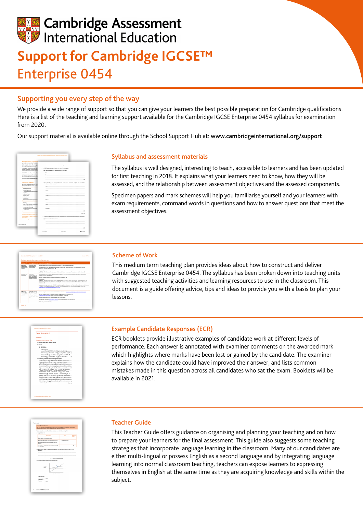# **Cambridge Assessment** International Education **Support for Cambridge IGCSE™**  Enterprise 0454

## Supporting you every step of the way

We provide a wide range of support so that you can give your learners the best possible preparation for Cambridge qualifications. Here is a list of the teaching and learning support available for the Cambridge IGCSE Enterprise 0454 syllabus for examination from 2020.

Our support material is available online through the School Support Hub at: [www.cambridgeinternational.org/support](http://www.cambridgeinternational.org/support)

| Recognition and progression                                                                                                       |                                   |                                                                                                                                                                                                                                     |                    |
|-----------------------------------------------------------------------------------------------------------------------------------|-----------------------------------|-------------------------------------------------------------------------------------------------------------------------------------------------------------------------------------------------------------------------------------|--------------------|
| The combination of leveninging and definite<br>further study. Candidates who achieve area<br>Cambridge International AS & A Level |                                   | ٠                                                                                                                                                                                                                                   |                    |
|                                                                                                                                   |                                   | 2 APEST analysis helps to identify the risks of an enterprise.                                                                                                                                                                      |                    |
| Cambridge (CCS3) are accepted and unless<br>audent adopted. Hay planting                                                          |                                   | (a) literatify what each of the letters in PEST stands for.                                                                                                                                                                         |                    |
| Cambridge (CCSS) or maximized to meet \$                                                                                          |                                   |                                                                                                                                                                                                                                     |                    |
| UK NHRC, the national agency in the UKB<br>With, has carried out an independent being                                             |                                   |                                                                                                                                                                                                                                     |                    |
| the standard of GCSE is the UK. This means                                                                                        |                                   | <b>A</b> construction of the construction of the construction of the construction of the construction of the construction of the construction of the construction of the construction of the construction of the construction of th |                    |
| are accepted as againsted to UK GOGLIBS                                                                                           | 1                                 |                                                                                                                                                                                                                                     |                    |
| loan not it was canbidgerminated                                                                                                  |                                   | The contract of the contract of the contract of                                                                                                                                                                                     | $-100$             |
| Supporting teachers                                                                                                               | outcome of your actions.          | (b) Explain how you managed two risks during your embergeles project, and include the                                                                                                                                               |                    |
| We arrestly a wide news of any trial weeks<br>development on that you can show your big                                           |                                   |                                                                                                                                                                                                                                     |                    |
|                                                                                                                                   |                                   |                                                                                                                                                                                                                                     |                    |
| Teaching responses                                                                                                                |                                   |                                                                                                                                                                                                                                     |                    |
| . School Support Hub                                                                                                              | Adjon:                            |                                                                                                                                                                                                                                     |                    |
| www.candoldavirdemational.org/tags<br>$+1$ didos                                                                                  |                                   |                                                                                                                                                                                                                                     |                    |
| . Scheme of work                                                                                                                  |                                   |                                                                                                                                                                                                                                     |                    |
| · Learner paids                                                                                                                   |                                   |                                                                                                                                                                                                                                     |                    |
| . Disputation forum<br>. Researce but                                                                                             |                                   |                                                                                                                                                                                                                                     |                    |
| . Indused textbooks and dartal regions                                                                                            |                                   |                                                                                                                                                                                                                                     |                    |
| <b><i><u>Training</u></i></b>                                                                                                     |                                   |                                                                                                                                                                                                                                     |                    |
| . Face to face workshops around the wi-                                                                                           |                                   |                                                                                                                                                                                                                                     |                    |
| . Online self-study training                                                                                                      |                                   |                                                                                                                                                                                                                                     |                    |
| . Online tutor dell'outrine<br>. Cambridge Professional Development                                                               |                                   | Cashman Controller and Controller and Controller and Controller and Controller and Controller                                                                                                                                       |                    |
| <b>Outflotten</b>                                                                                                                 |                                   |                                                                                                                                                                                                                                     | $\cdots$ N         |
|                                                                                                                                   |                                   |                                                                                                                                                                                                                                     | <b>Check 95</b>    |
| Cambridge IGCSE is one of the most                                                                                                |                                   |                                                                                                                                                                                                                                     |                    |
| is very popular in Egypt because it p                                                                                             |                                   | 3 Alusta knew that she needed to plan carefully and to use appropriate language in her neoctation.                                                                                                                                  |                    |
| programmes."<br><b>Business Fernice Thomas Tracer of NEW</b>                                                                      | (a) Define the term 'magnitudor'. |                                                                                                                                                                                                                                     |                    |
|                                                                                                                                   |                                   |                                                                                                                                                                                                                                     |                    |
|                                                                                                                                   |                                   |                                                                                                                                                                                                                                     |                    |
| <b>Back he contents page</b>                                                                                                      |                                   |                                                                                                                                                                                                                                     |                    |
|                                                                                                                                   |                                   |                                                                                                                                                                                                                                     |                    |
|                                                                                                                                   |                                   |                                                                                                                                                                                                                                     | $-25$              |
|                                                                                                                                   | <b>BUILDER</b>                    | NUMBER                                                                                                                                                                                                                              | <b>Clura aussi</b> |

### Syllabus and assessment materials

The syllabus is well designed, interesting to teach, accessible to learners and has been updated for first teaching in 2018. It explains what your learners need to know, how they will be assessed, and the relationship between assessment objectives and the assessed components.

Specimen papers and mark schemes will help you familiarise yourself and your learners with exam requirements, command words in questions and how to answer questions that meet the assessment objectives.

| Business occorbuyities, responsibilities and risk             |                                                                                                                          |                                                                                                                                                                                                                                                                                                                                                                                                                                                                                                                                                                                                                                                                                                                                                                                                             |  |
|---------------------------------------------------------------|--------------------------------------------------------------------------------------------------------------------------|-------------------------------------------------------------------------------------------------------------------------------------------------------------------------------------------------------------------------------------------------------------------------------------------------------------------------------------------------------------------------------------------------------------------------------------------------------------------------------------------------------------------------------------------------------------------------------------------------------------------------------------------------------------------------------------------------------------------------------------------------------------------------------------------------------------|--|
| <b>Building of</b>                                            |                                                                                                                          | Lasmina objectives Bunnested teaching activities                                                                                                                                                                                                                                                                                                                                                                                                                                                                                                                                                                                                                                                                                                                                                            |  |
| 4 Provinces<br>concelunities<br>responsibilities.<br>and risk | <b>Listenhand how</b><br>concertanties for<br>entered to artist.                                                         | Teacher presentation of materials or group discussion of local enterprise examples.<br>Union the case studies within textbook Complete Enterorise for Cambridge (GCSE). Learners exolute has the<br>poportunity for each enterprise arone. (B)<br><b>Coursework</b><br>Task Val - Part of a lowed writer most ships should include a summary of the resized or activity choses. (I)                                                                                                                                                                                                                                                                                                                                                                                                                         |  |
| <b>Bibliothern and</b><br>CASSING                             | Industried<br><b>CUSTOMAY AIRPORTS</b><br>needs and explain.<br>wind of researching<br>potential sushiness.              | Teacher crecentation of advantages and disadvantages of different methods of recearch and outdance of how to<br>complete research appropriately.<br>Learners complete research for their ours entertains exherience. (B)<br><b>Countered C</b><br>Task 13di - Part of a formal without report which should cover evidence of the wous in which a problem or need was<br>identified and researched by the learner, including the sources used and presentation of the outcomes of research.<br>undertaken, d)<br>Extension activity - undertake a SWOT analysis to supplement the report and help justify why the learner thinks there<br>is a market for their proposed product or service. The following web link and downloadsbile template might help:<br>yone mindlook com/pages/article/new/TMC_05.htm |  |
| A Business<br>hopperhandling.<br>responsibilities.<br>and cop | Excluir the reasons:<br>why enteredays and<br>entrepreneurs take<br>and annual case and<br>how dak can be dealt<br>with. | Learners complete a guid to assess their attitude to risk such as: http://www.blockhings.com/prevous/sktalwanouiz<br>Learners complete notes on risks and rewards using textbook or web resource (b)<br>www.aldoshara.nethatody.search for 'risk and rewards for entarprise'.<br>Teacher crescentation using video interviews with enterpreneurs:<br>Theo Paphilis interview: your A/Ex3u net/bico search entrepreneurs and calculated risk.<br>Stellos Hall-Statings Interview:                                                                                                                                                                                                                                                                                                                            |  |

### Scheme of Work

This medium term teaching plan provides ideas about how to construct and deliver Cambridge IGCSE Enterprise 0454. The syllabus has been broken down into teaching units with suggested teaching activities and learning resources to use in the classroom. This document is a guide offering advice, tips and ideas to provide you with a basis to plan your lessons.



### Example Candidate Responses (ECR)

ECR booklets provide illustrative examples of candidate work at different levels of performance. Each answer is annotated with examiner comments on the awarded mark which highlights where marks have been lost or gained by the candidate. The examiner explains how the candidate could have improved their answer, and lists common mistakes made in this question across all candidates who sat the exam. Booklets will be available in 2021.



### Teacher Guide

This Teacher Guide offers guidance on organising and planning your teaching and on how to prepare your learners for the final assessment. This guide also suggests some teaching strategies that incorporate language learning in the classroom. Many of our candidates are either multi-lingual or possess English as a second language and by integrating language learning into normal classroom teaching, teachers can expose learners to expressing themselves in English at the same time as they are acquiring knowledge and skills within the subject.